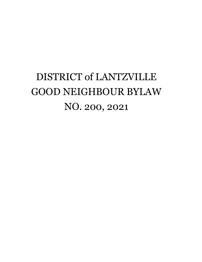# DISTRICT of LANTZVILLE GOOD NEIGHBOUR BYLAW NO. 200, 2021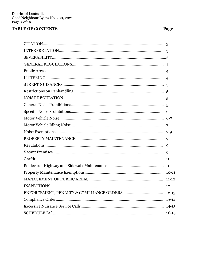# **TABLE OF CONTENTS Page**

| 9 |
|---|
|   |
|   |
|   |
|   |
|   |
|   |
|   |
|   |
|   |
|   |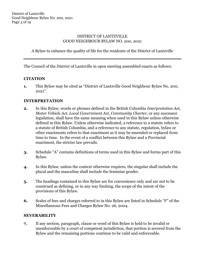## DISTRICT OF LANTZVILLE GOOD NEIGHBOUR BYLAW NO. 200, 2021

A Bylaw to enhance the quality of life for the residents of the District of Lantzville

The Council of the District of Lantzville in open meeting assembled enacts as follows:

#### **CITATION**

**1.** This Bylaw may be cited as "District of Lantzville Good Neighbour Bylaw No. 200, 2021".

#### **INTERPRETATION**

- **2.** In this Bylaw, words or phrases defined in the British Columbia *Interpretation Act, Motor Vehicle Act, Local Government Act, Community Charter*, or any successor legislation, shall have the same meaning when used in this Bylaw unless otherwise defined in this Bylaw. Unless otherwise indicated, a reference to a statute refers to a statute of British Columbia, and a reference to any statute, regulation, bylaw or other enactments refers to that enactment as it may be amended or replaced from time to time. In the event of a conflict between this Bylaw and a Provincial enactment, the stricter law prevails.
- **3.** Schedule "A" contains definitions of terms used in this Bylaw and forms part of this Bylaw.
- **4.** In this Bylaw, unless the context otherwise requires, the singular shall include the plural and the masculine shall include the feminine gender.
- **5.** The headings contained in this Bylaw are for convenience only and are not to be construed as defining, or in any way limiting, the scope of the intent of the provisions of this Bylaw.
- **6.** Scales of fees and charges referred to in this Bylaw are listed in Schedule "F" of the Miscellaneous Fees and Charges Bylaw No. 26, 2004.

#### **SEVERABILITY**

**7.** If any section, paragraph, clause or word of this Bylaw is held to be invalid or unenforceable by a court of competent jurisdiction, that portion is severed from the Bylaw and the remaining portions continue to be valid and enforceable.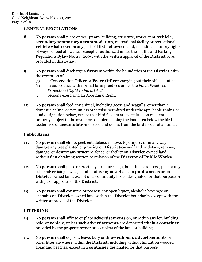## **GENERAL REGULATIONS**

- **8.** No **person** shall place or occupy any building, structure, works, tent, **vehicle**, **secondary temporary accommodation**, recreational facility or recreational **vehicle** whatsoever on any part of **District**-owned land, including statutory rights of ways or road allowances except as authorized under the Traffic and Parking Regulations Bylaw No. 28, 2004, with the written approval of the **District** or as provided in this Bylaw.
- **9.** No **person** shall discharge a **firearm** within the boundaries of the **District**, with the exception of:
	- (a) a Conservation Officer or **Peace Officer** carrying out their official duties;
	- (b) in accordance with normal farm practices under the *Farm Practices Protection (Right to Farm) Act";*
	- (c) persons exercising an Aboriginal Right.
- **10.** No **person** shall feed any animal, including geese and seagulls, other than a domestic animal or pet, unless otherwise permitted under the applicable zoning or land designation bylaw, except that bird feeders are permitted on residential property subject to the owner or occupier keeping the land area below the bird feeder free of **accumulation** of seed and debris from the bird feeder at all times.

## **Public Areas**

- **11.** No **person** shall climb, peel, cut, deface, remove, top, injure, or in any way damage any tree planted or growing on **District**-owned land or deface, remove, damage, or destroy any structure, fence, or facility on **District**-owned land without first obtaining written permission of the **Director of Public Works**.
- **12.** No **person** shall place or erect any structure, sign, bulletin board, post, pole or any other advertising device, paint or affix any advertising in **public areas** or on **District**-owned land, except on a community board designated for that purpose or with prior approval of the **District**.
- **13.** No **person** shall consume or possess any open liquor, alcoholic beverage or cannabis on **District**-owned land within the **District** boundaries except with the written approval of the **District**.

# **LITTERING**

- **14.** No **person** shall affix to or place **advertisements** on, or within any lot, building, pole, or **vehicle**, unless such **advertisements** are deposited within a **container** provided by the property owner or occupiers of the land or building.
- **15.** No **person** shall deposit, leave, bury or throw **rubbish, advertisements** or other litter anywhere within the **District,** including without limitation wooded areas and beaches, except in a **container** designated for that purpose.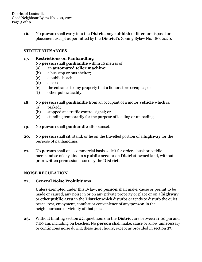District of Lantzville Good Neighbour Bylaw No. 200, 2021 Page 5 of 19

> **16.** No **person** shall carry into the **District** any **rubbish** or litter for disposal or placement except as permitted by the **District's** Zoning Bylaw No. 180, 2020.

## **STREET NUISANCES**

#### **17. Restrictions on Panhandling** No **person** shall **panhandle** within 10 metres of:

- (a) an **automated teller machine**;
- (b) a bus stop or bus shelter;
- (c) a public beach;
- (d) a park;
- (e) the entrance to any property that a liquor store occupies; or
- (f) other public facility.

#### **18.** No **person** shall **panhandle** from an occupant of a motor **vehicle** which is:

- (a) parked;
- (b) stopped at a traffic control signal; or
- (c) standing temporarily for the purpose of loading or unloading.
- **19.** No **person** shall **panhandle** after sunset.
- **20.** No **person** shall sit, stand, or lie on the travelled portion of a **highway** for the purpose of panhandling.
- **21.** No **person** shall on a commercial basis solicit for orders, busk or peddle merchandise of any kind in a **public area** or on **District**-owned land, without prior written permission issued by the **District**.

## **NOISE REGULATION**

#### **22. General Noise Prohibitions**

Unless exempted under this Bylaw, no **person** shall make, cause or permit to be made or caused, any noise in or on any private property or place or on a **highway** or other **public area** in the **District** which disturbs or tends to disturb the quiet, peace, rest, enjoyment, comfort or convenience of any **person** in the neighbourhood or vicinity of that place.

**23.** Without limiting section 22, quiet hours in the **District** are between 11:00 pm and 7:00 am, including on beaches. No **person** shall make, cause or allow unnecessary or continuous noise during these quiet hours, except as provided in section 27.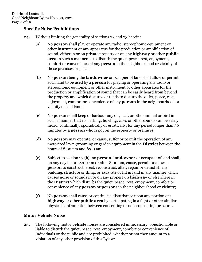## **Specific Noise Prohibitions**

- **24.** Without limiting the generality of sections 22 and 23 herein:
	- (a) No **person** shall play or operate any radio, stereophonic equipment or other instrument or any apparatus for the production or amplification of sound, either in or on private property or on any **highway** or other **public area** in such a manner as to disturb the quiet, peace, rest, enjoyment, comfort or convenience of any **person** in the neighbourhood or vicinity of those premises or place;
	- (b) No **person** being the **landowner** or occupier of land shall allow or permit such land to be used by a **person** for playing or operating any radio or stereophonic equipment or other instrument or other apparatus for the production or amplification of sound that can be easily heard from beyond the property and which disturbs or tends to disturb the quiet, peace, rest, enjoyment, comfort or convenience of any **person** in the neighbourhood or vicinity of said land;
	- (c) No **person** shall keep or harbour any dog, cat, or other animal or bird in such a manner that its barking, howling, cries or other sounds can be easily heard, continually, sporadically or erratically, for any period longer than 30 minutes by a **person** who is not on the property or premises;
	- (d) No **person** may operate, or cause, suffer or permit the operation of any motorized lawn-grooming or garden equipment in the **District** between the hours of 8:00 pm and 8:00 am;
	- (e) Subject to section 27 (h), no **person**, **landowner** or occupant of land shall, on any day before 8:00 am or after 8:00 pm, cause, permit or allow a **person** to construct, erect, reconstruct, alter, repair or demolish any building, structure or thing, or excavate or fill in land in any manner which causes noise or sounds in or on any property, a **highway** or elsewhere in the **District** which disturbs the quiet, peace, rest, enjoyment, comfort or convenience of any **person** or **person**s in the neighbourhood or vicinity;
	- (f) No **person** shall cause or continue a disturbance upon any portion of a **highway** or other **public area** by participating in a fight or other similar physical confrontation between consenting or non-consenting **persons**.

## **Motor Vehicle Noise**

**25.** The following motor **vehicle** noises are considered unnecessary, objectionable or liable to disturb the quiet, peace, rest, enjoyment, comfort or convenience of individuals or the public and are prohibited, whether or not they amount to a violation of any other provision of this Bylaw: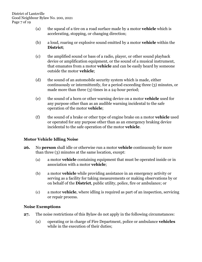- (a) the squeal of a tire on a road surface made by a motor **vehicle** which is accelerating, stopping, or changing direction;
- (b) a loud, roaring or explosive sound emitted by a motor **vehicle** within the **District**;
- (c) the amplified sound or bass of a radio, player, or other sound playback device or amplification equipment, or the sound of a musical instrument, that emanates from a motor **vehicle** and can be easily heard by someone outside the motor **vehicle**;
- (d) the sound of an automobile security system which is made, either continuously or intermittently, for a period exceeding three (3) minutes, or made more than three (3) times in a 24-hour period;
- (e) the sound of a horn or other warning device on a motor **vehicle** used for any purpose other than as an audible warning incidental to the safe operation of the motor **vehicle**;
- (f) the sound of a brake or other type of engine brake on a motor **vehicle** used or operated for any purpose other than as an emergency braking device incidental to the safe operation of the motor **vehicle**.

# **Motor Vehicle Idling Noise**

- **26.** No **person** shall idle or otherwise run a motor **vehicle** continuously for more than three (3) minutes at the same location, except:
	- (a) a motor **vehicle** containing equipment that must be operated inside or in association with a motor **vehicle**;
	- (b) a motor **vehicle** while providing assistance in an emergency activity or serving as a facility for taking measurements or making observations by or on behalf of the **District**, public utility, police, fire or ambulance; or
	- (c) a motor **vehicle**, where idling is required as part of an inspection, servicing or repair process.

## **Noise Exemptions**

- **27.** The noise restrictions of this Bylaw do not apply in the following circumstances:
	- (a) operating or in charge of Fire Department, police or ambulance **vehicles** while in the execution of their duties;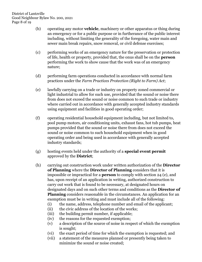- (b) operating any motor **vehicle**, machinery or other apparatus or thing during an emergency or for a public purpose or in furtherance of the public interest including, without limiting the generality of the foregoing, water main and sewer main break repairs, snow removal, or civil defense exercises;
- (c) performing works of an emergency nature for the preservation or protection of life, health or property, provided that, the onus shall be on the **person** performing the work to show cause that the work was of an emergency nature;
- (d) performing farm operations conducted in accordance with normal farm practices under the *Farm Practices Protection (Right to Farm) Act*;
- (e) lawfully carrying on a trade or industry on property zoned commercial or light industrial to allow for such use, provided that the sound or noise there from does not exceed the sound or noise common to such trade or industry where carried out in accordance with generally accepted industry standards using equipment and facilities in good operating order;
- (f) operating residential household equipment including, but not limited to, pool pump motors, air conditioning units, exhaust fans, hot tub pumps, heat pumps provided that the sound or noise there from does not exceed the sound or noise common to such household equipment when in good operating order and being used in accordance with generally accepted industry standards;
- (g) hosting events held under the authority of a **special event permit** approved by the **District**;
- (h) carrying out construction work under written authorization of the **Director of Planning** where the **Director of Planning** considers that it is impossible or impractical for a **person** to comply with section 24 (e), and has, upon receipt of an application in writing, authorized construction to carry out work that is found to be necessary, at designated hours on designated days and on such other terms and conditions as the **Director of Planning** considers reasonable in the circumstances. An application for an exemption must be in writing and must include all of the following:
	- (i) the name, address, telephone number and email of the applicant;
	- (ii) the civic address of the location of the works;
	- (iii) the building permit number, if applicable;
	- (iv) the reasons for the requested exemption;
	- (v) a description of the source of noise in respect of which the exemption is sought;
	- (vi) the exact period of time for which the exemption is requested; and
	- (vii) a statement of the measures planned or presently being taken to minimize the sound or noise created;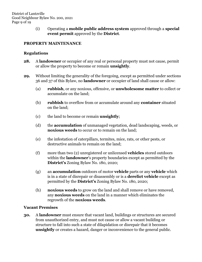(i) Operating a **mobile public address system** approved through a **special event permit** approved by the **District**.

# **PROPERTY MAINTENANCE**

## **Regulations**

- **28.** A **landowner** or occupier of any real or personal property must not cause, permit or allow the property to become or remain **unsightly**.
- **29.** Without limiting the generality of the foregoing, except as permitted under sections 36 and 37 of this Bylaw, no **landowner** or occupier of land shall cause or allow:
	- (a) **rubbish**, or any noxious, offensive, or **unwholesome matter** to collect or accumulate on the land;
	- (b) **rubbish** to overflow from or accumulate around any **container** situated on the land;
	- (c) the land to become or remain **unsightly**;
	- (d) the **accumulation** of unmanaged vegetation, dead landscaping, weeds, or **noxious weeds** to occur or to remain on the land;
	- (e) the infestation of caterpillars, termites, mice, rats, or other pests, or destructive animals to remain on the land;
	- (f) more than two (2) unregistered or unlicensed **vehicles** stored outdoors within the **landowner**'s property boundaries except as permitted by the **District's** Zoning Bylaw No. 180, 2020;
	- (g) an **accumulation** outdoors of motor **vehicle** parts or any **vehicle** which is in a state of disrepair or disassembly or is a **derelict vehicle** except as permitted by the **District's** Zoning Bylaw No. 180, 2020;
	- (h) **noxious weeds** to grow on the land and shall remove or have removed, any **noxious weeds** on the land in a manner which eliminates the regrowth of the **noxious weeds**.

## **Vacant Premises**

**30.** A **landowner** must ensure that vacant land, buildings or structures are secured from unauthorized entry, and must not cause or allow a vacant building or structure to fall into such a state of dilapidation or disrepair that it becomes **unsightly** or creates a hazard, danger or inconvenience to the general public.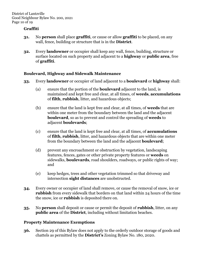## **Graffiti**

- **31.** No **person** shall place **graffiti**, or cause or allow **graffiti** to be placed, on any wall, fence, building or structure that is in the **District**.
- **32.** Every **landowner** or occupier shall keep any wall, fence, building, structure or surface located on such property and adjacent to a **highway** or **public area**, free of **graffiti**.

# **Boulevard, Highway and Sidewalk Maintenance**

- **33.** Every **landowner** or occupier of land adjacent to a **boulevard** or **highway** shall:
	- (a) ensure that the portion of the **boulevard** adjacent to the land, is maintained and kept free and clear, at all times, of **weeds**, **accumulations** of **filth**, **rubbish**, litter, and hazardous objects;
	- (b) ensure that the land is kept free and clear, at all times, of **weeds** that are within one meter from the boundary between the land and the adjacent **boulevard**, so as to prevent and control the spreading of **weeds** to adjacent **boulevards**;
	- (c) ensure that the land is kept free and clear, at all times, of **accumulations**  of **filth**, **rubbish**, litter, and hazardous objects that are within one meter from the boundary between the land and the adjacent **boulevard**;
	- (d) prevent any encroachment or obstruction by vegetation, landscaping features, fences, gates or other private property features or **weeds** on sidewalks, **boulevards**, road shoulders, roadways, or public rights of way; and
	- (e) keep hedges, trees and other vegetation trimmed so that driveway and intersection **sight distances** are unobstructed.
- **34.** Every owner or occupier of land shall remove, or cause the removal of snow, ice or **rubbish** from every sidewalk that borders on that land within 24 hours of the time the snow, ice or **rubbish** is deposited there on.
- **35.** No **person** shall deposit or cause or permit the deposit of **rubbish**, litter, on any **public area** of the **District**, including without limitation beaches.

# **Property Maintenance Exemptions**

**36.** Section 29 of this Bylaw does not apply to the orderly outdoor storage of goods and chattels as permitted by the **District's** Zoning Bylaw No. 180, 2020.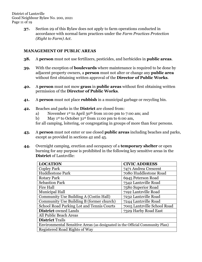District of Lantzville Good Neighbour Bylaw No. 200, 2021 Page 11 of 19

> **37.** Section 29 of this Bylaw does not apply to farm operations conducted in accordance with normal farm practices under the *Farm Practices Protection (Right to Farm) Act*.

#### **MANAGEMENT OF PUBLIC AREAS**

- **38.** A **person** must not use fertilizers, pesticides, and herbicides in **public areas**.
- **39.** With the exception of **boulevards** where maintenance is required to be done by adjacent property owners, a **person** must not alter or change any **public area** without first obtaining written approval of the **Director of Public Works**.
- **40.** A **person** must not mow **grass** in **public areas** without first obtaining written permission of the **Director of Public Works**.
- **41.** A **person** must not place **rubbish** in a municipal garbage or recycling bin.
- **42.** Beaches and parks in the **District** are closed from:
	- a) November 1st to April 30th from 10:00 pm to 7:00 am; and
	- b) May 1st to October 31st from 11:00 pm to 6:00 am,

for all camping, loitering, or congregating in groups of more than four persons.

- **43.** A **person** must not enter or use closed **public areas** including beaches and parks, except as provided in sections 42 and 45.
- **44.** Overnight camping, erection and occupancy of a **temporary shelter** or open burning for any purpose is prohibited in the following key sensitive areas in the **District** of Lantzville:

| <b>LOCATION</b>                                                              | <b>CIVIC ADDRESS</b>        |  |
|------------------------------------------------------------------------------|-----------------------------|--|
| <b>Copley Park</b>                                                           | 7471 Andrea Crescent        |  |
| <b>Huddlestone Park</b>                                                      | 7080 Huddlestone Road       |  |
| <b>Rotary Park</b>                                                           | 6945 Peterson Road          |  |
| <b>Sebastion Park</b>                                                        | 7342 Lantzville Road        |  |
| <b>Fire Hall</b>                                                             | 7580 Superior Road          |  |
| <b>Municipal Hall</b>                                                        | 7192 Lantzville Road        |  |
| Community Use Building A (Costin Hall)                                       | 7232 Lantzville Road        |  |
| Community Use Building B (former church)                                     | 7244 Lantzville Road        |  |
| School Road Parking Lot and Tennis Courts                                    | 7005 Lantzville School Road |  |
| <b>District-owned Lands</b>                                                  | 7329 Harby Road East        |  |
| All Public Beach Areas                                                       |                             |  |
| <b>District Trails</b>                                                       |                             |  |
| Environmental Sensitive Areas (as designated in the Official Community Plan) |                             |  |
| Registered Road Rights of Way                                                |                             |  |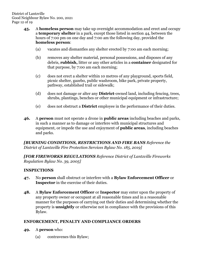- **45.** A **homeless person** may take up overnight accommodation and erect and occupy a **temporary shelter** in a park, except those listed in section 44, between the hours of 7:00 pm on one day and 7:00 am the following day, provided the **homeless person**:
	- (a) vacates and dismantles any shelter erected by 7:00 am each morning;
	- (b) removes any shelter material, personal possessions, and disposes of any debris, **rubbish,** litter or any other articles in a **container** designated for that purpose, by 7:00 am each morning;
	- (c) does not erect a shelter within 10 metres of any playground, sports field, picnic shelter, gazebo, public washroom, bike park, private property, pathway, established trail or sidewalk;
	- (d) does not damage or alter any **District**-owned land, including fencing, trees, shrubs, plantings, benches or other municipal equipment or infrastructure;
	- (e) does not obstruct a **District** employee in the performance of their duties.
- **46.** A **person** must not operate a drone in **public areas** including beaches and parks, in such a manner as to damage or interfere with municipal structures and equipment, or impede the use and enjoyment of **public areas**, including beaches and parks.

*[BURNING CONDITIONS, RESTRICTIONS AND FIRE BANS Reference the District of Lantzville Fire Protection Services Bylaw No. 185, 2019]*

*[FOR FIREWORKS REGULATIONS Reference District of Lantzville Fireworks Regulation Bylaw No. 39, 2005]*

## **INSPECTIONS**

- **47.** No **person** shall obstruct or interfere with a **Bylaw Enforcement Officer** or **Inspector** in the exercise of their duties.
- **48.** A **Bylaw Enforcement Officer** or **Inspector** may enter upon the property of any property owner or occupant at all reasonable times and in a reasonable manner for the purposes of carrying out their duties and determining whether the property is **unsightly** or otherwise not in compliance with the provisions of this Bylaw.

#### **ENFORCEMENT, PENALTY AND COMPLIANCE ORDERS**

- **49.** A **person** who:
	- (a) contravenes this Bylaw;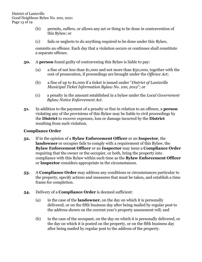- (b) permits, suffers, or allows any act or thing to be done in contravention of this Bylaw; or
- (c) fails or neglects to do anything required to be done under this Bylaw,

commits an offence. Each day that a violation occurs or continues shall constitute a separate offence.

- **50.** A **person** found guilty of contravening this Bylaw is liable to pay:
	- (a) a fine of not less than \$1,000 and not more than \$50,000, together with the cost of prosecution, if proceedings are brought under the *Offence Act*;
	- (b) a fine of up to \$1,000 if a ticket is issued under "*District of Lantzville Municipal Ticket Information Bylaw No. 100, 2012*"; or
	- (c) a penalty in the amount established in a bylaw under the *Local Government Bylaw Notice Enforcement Act*.
- **51.** In addition to the payment of a penalty or fine in relation to an offence, a **person** violating any of the provisions of this Bylaw may be liable to civil proceedings by the **District** to recover expenses, loss or damage incurred by the **District** resulting from such violation.

## **Compliance Order**

- **52.** If in the opinion of a **Bylaw Enforcement Officer** or an **Inspector**, the **landowner** or occupier fails to comply with a requirement of this Bylaw, the **Bylaw Enforcement Officer** or an **Inspector** may issue a **Compliance Order** requiring that the owner or the occupier, or both, bring the property into compliance with this Bylaw within such time as the **Bylaw Enforcement Officer**  or **Inspector** considers appropriate in the circumstances.
- **53.** A **Compliance Order** may address any conditions or circumstances particular to the property, specify actions and measures that must be taken, and establish a time frame for completion.
- **54.** Delivery of a **Compliance Order** is deemed sufficient:
	- (a) in the case of the **landowner**, on the day on which it is personally delivered, or on the fifth business day after being mailed by regular post to the address shown on the current year's property assessment roll; and
	- (b) in the case of the occupant, on the day on which it is personally delivered, or the day on which it is posted on the property, or on the fifth business day after being mailed by regular post to the address of the property.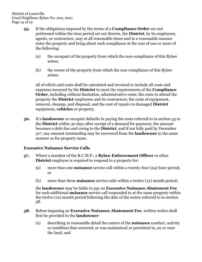District of Lantzville Good Neighbour Bylaw No. 200, 2021 Page 14 of 19

- **55.** If the obligations imposed by the terms of a **Compliance Order** are not performed within the time period set out therein, the **District**, by its employees, agents, or contractors, may at all reasonable times and in a reasonable manner enter the property and bring about such compliance at the cost of one or more of the following:
	- (a) the occupant of the property from which the non-compliance of this Bylaw arises;
	- (b) the owner of the property from which the non-compliance of this Bylaw arises;

all of which said costs shall be calculated and invoiced to include all costs and expenses incurred by the **District** to meet the requirements of the **Compliance Order**, including without limitation, administrative costs; the costs to attend the property the **District** employees and its contractors; the costs of equipment, removal, cleanup, and disposal; and the cost of repairs to damaged **District** equipment, **vehicles** or property.

**56.** If a **landowner** or occupier defaults in paying the costs referred to in section 55 to the **District** within 30 days after receipt of a demand for payment, the amount becomes a debt due and owing to the **District**, and if not fully paid by December 31st , any amount outstanding may be recovered from the **landowner** in the same manner as for property taxes.

## **Excessive Nuisance Service Calls**

- **57.** Where a member of the R.C.M.P., a **Bylaw Enforcement Officer** or other **District** employee is required to respond to a property for:
	- (a) more than one **nuisance** service call within a twenty-four (24) hour period; or
	- (b) more than three **nuisance** service calls within a twelve (12) month period;

the **landowner** may be liable to pay an **Excessive Nuisance Abatement Fee** for each additional **nuisance** service call responded to at the same property within the twelve (12) month period following the date of the notice referred to in section 58.

#### **58.** Before imposing an **Excessive Nuisance Abatement Fee**, written notice shall first be provided to the **landowner**:

(a) describing in reasonable detail the nature of the **nuisance** conduct, activity or condition that occurred, or was maintained or permitted in, on or near the land; and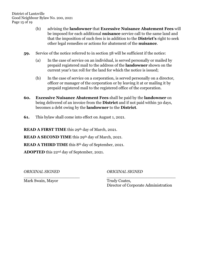District of Lantzville Good Neighbour Bylaw No. 200, 2021 Page 15 of 19

- (b) advising the **landowner** that **Excessive Nuisance Abatement Fees** will be imposed for each additional **nuisance** service call to the same land and that the imposition of such fees is in addition to the **District's** right to seek other legal remedies or actions for abatement of the **nuisance**.
- **59.** Service of the notice referred to in section 58 will be sufficient if the notice:
	- (a) In the case of service on an individual, is served personally or mailed by prepaid registered mail to the address of the **landowner** shown on the current year's tax roll for the land for which the notice is issued;
	- (b) In the case of service on a corporation, is served personally on a director, officer or manager of the corporation or by leaving it at or mailing it by prepaid registered mail to the registered office of the corporation.
- **60. Excessive Nuisance Abatement Fees** shall be paid by the **landowner** on being delivered of an invoice from the **District** and if not paid within 30 days, becomes a debt owing by the **landowner** to the **District**.

\_\_\_\_\_\_\_\_\_\_\_\_\_\_\_\_\_\_\_\_\_\_ \_\_\_\_\_\_\_\_\_\_\_\_\_\_\_\_\_\_\_\_\_\_\_\_\_\_\_

**61.** This bylaw shall come into effect on August 1, 2021.

**READ A FIRST TIME** this 29th day of March, 2021.

**READ A SECOND TIME** this 29<sup>th</sup> day of March, 2021.

**READ A THIRD TIME** this 8<sup>th</sup> day of September, 2021.

**ADOPTED** this 22nd day of September, 2021.

*ORIGINAL SIGNED ORIGINAL SIGNED*

Mark Swain, Mayor Trudy Coates,

Director of Corporate Administration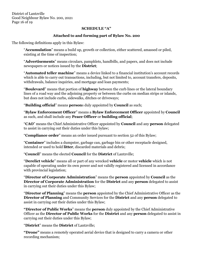District of Lantzville Good Neighbour Bylaw No. 200, 2021 Page 16 of 19

#### **SCHEDULE "A"**

#### **Attached to and forming part of Bylaw No. 200**

The following definitions apply in this Bylaw:

"**Accumulation**" means a build up, growth or collection, either scattered, amassed or piled, existing at the time of inspection;

"**Advertisements**" means circulars, pamphlets, handbills, and papers, and does not include newspapers or notices issued by the **District**;

"**Automated teller machine**" means a device linked to a financial institution's account records which is able to carry out transactions, including, but not limited to, account transfers, deposits, withdrawals, balance inquiries, and mortgage and loan payments;

"**Boulevard**" means that portion of **highway** between the curb lines or the lateral boundary lines of a road way and the adjoining property or between the curbs on median strips or islands, but does not include curbs, sidewalks, ditches or driveways;

"**Building official**" means **person**s duly appointed by **Council** as such;

"**Bylaw Enforcement Officer**" means a **Bylaw Enforcement Officer** appointed by **Council** as such, and shall include any **Peace Officer** or **building official**;

"**CAO**" means the Chief Administrative Officer appointed by **Council** and any **person** delegated to assist in carrying out their duties under this bylaw;

"**Compliance order**" means an order issued pursuant to section 52 of this Bylaw;

"**Container**" includes a dumpster, garbage can, garbage bin or other receptacle designed, intended or used to hold **litter**, discarded materials and debris;

"**Council**" means the elected **Council** for the **District** of Lantzville;

"**Derelict vehicle**" means all or part of any wrecked **vehicle** or motor **vehicle** which is not capable of operating under its own power and not validly registered and licensed in accordance with provincial legislation;

"**Director of Corporate Administration**" means the **person** appointed by **Council** as the **Director of Corporate Administration** for the **District** and any **person** delegated to assist in carrying out their duties under this Bylaw;

"**Director of Planning**" means the **person** appointed by the Chief Administrative Officer as the **Director of Planning** and Community Services for the **District** and any **person** delegated to assist in carrying out their duties under this Bylaw;

**"Director of Public Works**" means the **person** duly appointed by the Chief Administrative Officer as the **Director of Public Works** for the **District** and any **person** delegated to assist in carrying out their duties under this Bylaw;

"**District**" means the **District** of Lantzville;

**"Drone"** means a remotely operated aerial device that is designed to carry a camera or other recording mechanism;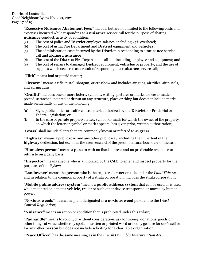District of Lantzville Good Neighbour Bylaw No. 200, 2021 Page 17 of 19

> "**Excessive Nuisance Abatement Fees**" include, but are not limited to the following costs and expenses incurred while responding to a **nuisance** service call for the purpose of abating **nuisance** conduct, activity or condition:

- (a) The cost of police and **District** employee salaries, including 25% overhead;
- (b) The cost of using Fire Department and **District** equipment and **vehicles;**
- (c) The administration costs incurred by the **District** in responding to a **nuisance** service call and abating a **nuisance**;
- (d) The cost of the **District** Fire Department call-out including employee and equipment; and
- (e) The cost of repairs to damaged **District** equipment, **vehicles** or property, and the use of supplies which occurred as a result of responding to a **nuisance** service call;

"**Filth**" means foul or putrid matter;

"**Firearm**" means a rifle, pistol, shotgun, or crossbow and includes air guns, air rifles, air pistols, and spring guns;

"**Graffiti**" includes one or more letters, symbols, writing, pictures or marks, however made, posted, scratched, painted or drawn on any structure, place or thing but does not include marks made accidentally or any of the following:

- (a) Sign, public notice or traffic control mark authorized by the **District**, or Provincial or Federal legislation; or
- (b) In the case of private property, letter, symbol or mark for which the owner of the property on which the letter or symbol or mark appears, has given prior, written authorization;

"**Grass**" shall include plants that are commonly known or referred to as **grass**;

"**Highway**" means a public road and any other public way, including the full extent of the **highway** dedication, but excludes the area seaward of the present natural boundary of the sea;

"**Homeless person**" means a **person** with no fixed address and no predictable residence to return to on a daily basis;

**"Inspector"** means anyone who is authorized by the **CAO** to enter and inspect property for the purposes of this Bylaw;

"**Landowner**" means the **person** who is the registered owner on title under the *Land Title Act,*  and in relation to the common property of a strata corporation, includes the strata corporation;

"**Mobile public address system**" means a **public address system** that can be used or is used while mounted on a motor **vehicle**, trailer or such other device transported or moved by human power;

"**Noxious weeds**" means any plant designated as a **noxious weed** pursuant to the *Weed Control Regulation;*

**"Nuisance"** means an action or condition that is prohibited under this Bylaw;

"**Panhandle**" means to solicit, or without consideration, ask for money, donations, goods or other things of value whether by spoken, written or printed word or bodily gesture for one's self or for any other **person** but does not include soliciting for a charitable organization;

"**Peace Officer**" has the same meaning as in the *British Columbia Interpretation Act*;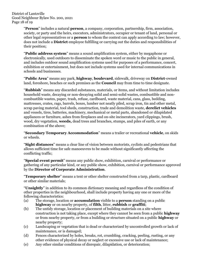District of Lantzville Good Neighbour Bylaw No. 200, 2021 Page 18 of 19

> "**Person**" includes a natural **person**, a company, corporation, partnership, firm, association, society, or party and the heirs, executors, administrators, occupier or tenant of land, personal or other legal representatives or a **person** to whom the context can apply according to law; however, does not include a **District** employee fulfilling or carrying out the duties and responsibilities of their position;

"**Public address system**" means a sound amplification system, either by megaphone or electronically, used outdoors to disseminate the spoken word or music to the public in general, and includes outdoor sound amplification systems used for purposes of a performance, concert, exhibition or entertainment, but does not include systems used for internal communications in schools and businesses.

"**Public Area**" means any park, **highway**, **boulevard**, sidewalk, driveway on **District**-owned land, foreshore, beaches or such premises as the **Council** may from time to time designate.

"**Rubbish**" means any discarded substances, materials, or items, and without limitation includes household waste, decaying or non-decaying solid and semi-solid wastes, combustible and noncombustible wastes, paper, trash, refuse, cardboard, waste material, cans, glass, bedding, mattresses, crates, rags, barrels, boxes, lumber not neatly piled, scrap iron, tin and other metal, scrap paving material, tool sheds, construction, trade and demolition waste, **derelict vehicles** and vessels, tires, batteries, machinery, mechanical or metal parts, abandoned or dilapidated appliances or furniture, ashes from fireplaces and on-site incinerators, yard clippings, brush, wood, dry vegetation, **weeds,** dead trees and branches, stumps, and piles of earth, or any combination of the above;

"**Secondary Temporary Accommodation**" means a trailer or recreational **vehicle**, on skids or wheels.

"**Sight distances**" means a clear line of vision between motorists, cyclists and pedestrians that allows sufficient time for safe manoeuvres to be made without significantly affecting the conflicting traffic;

"**Special event permit**" means any public show, exhibition, carnival or performance or gathering of any particular kind, or any public show, exhibition, carnival or performance approved by the **Director of Corporate Administration**.

"**Temporary shelter**" means a tent or other shelter constructed from a tarp, plastic, cardboard or other similar materials;

"**Unsightly**" in addition to its common dictionary meaning and regardless of the condition of other properties in the neighbourhood, shall include property having any one or more of the following characteristics:

- (a) The storage, location or **accumulation** visible to a **person** standing on a public **highway** or on nearby property, of **filth**, litter, **rubbish** or **graffiti**;
- (b) The untidy storage, location or placement of building materials on a site where construction is not taking place, except where they cannot be seen from a public **highway** or from nearby property, or from a building or structure situated on a public **highway** or nearby property;
- (c) Landscaping or vegetation that is dead or characterized by uncontrolled growth or lack of maintenance, or is damaged;
- (d) Fences characterized by holes, breaks, rot, crumbling, cracking, peeling, rusting, or any other evidence of physical decay or neglect or excessive use or lack of maintenance;
- (e) Any other similar conditions of disrepair, dilapidation, or deterioration;